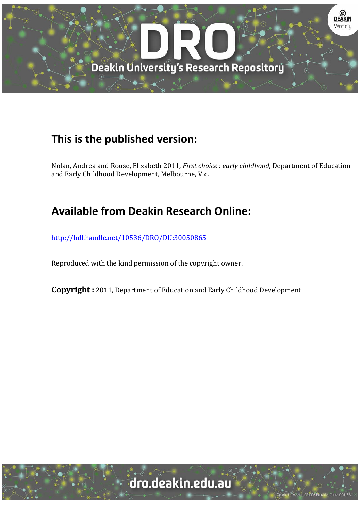

# **This is the published version:**

Nolan, Andrea and Rouse, Elizabeth 2011, *First choice : early childhood*, Department of Education and Early Childhood Development, Melbourne, Vic.

# **Available from Deakin Research Online:**

http://hdl.handle.net/10536/DRO/DU:30050865

Reproduced with the kind permission of the copyright owner.

**Copyright** : 2011, Department of Education and Early Childhood Development

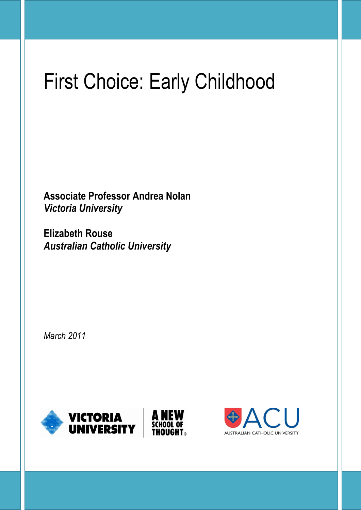# First Choice: Early Childhood

**Associate Professor Andrea Nolan** *Victoria University*

**Elizabeth Rouse**  *Australian Catholic University*

*March 2011*



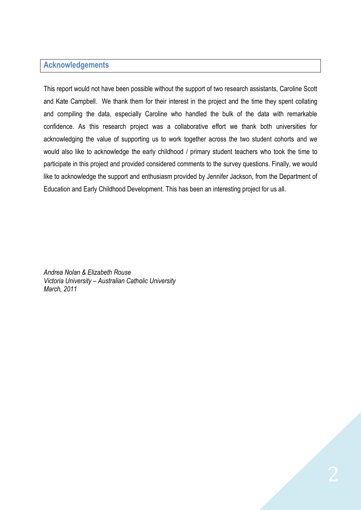# <span id="page-2-0"></span>**Acknowledgements**

This report would not have been possible without the support of two research assistants, Caroline Scott and Kate Campbell. We thank them for their interest in the project and the time they spent collating and compiling the data, especially Caroline who handled the bulk of the data with remarkable confidence. As this research project was a collaborative effort we thank both universities for acknowledging the value of supporting us to work together across the two student cohorts and we would also like to acknowledge the early childhood / primary student teachers who took the time to participate in this project and provided considered comments to the survey questions. Finally, we would like to acknowledge the support and enthusiasm provided by Jennifer Jackson, from the Department of Education and Early Childhood Development. This has been an interesting project for us all.

*Andrea Nolan & Elizabeth Rouse Victoria University – Australian Catholic University March, 2011*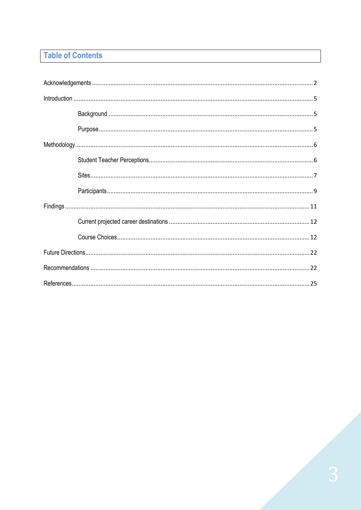# **Table of Contents**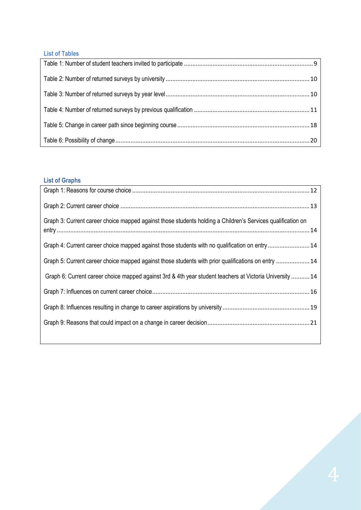# **List of Tables**

# **List of Graphs**

| Graph 3: Current career choice mapped against those students holding a Children's Services qualification on |  |
|-------------------------------------------------------------------------------------------------------------|--|
| Graph 4: Current career choice mapped against those students with no qualification on entry 14              |  |
| Graph 5: Current career choice mapped against those students with prior qualifications on entry  14         |  |
| Graph 6: Current career choice mapped against 3rd & 4th year student teachers at Victoria University  14    |  |
|                                                                                                             |  |
|                                                                                                             |  |
|                                                                                                             |  |
|                                                                                                             |  |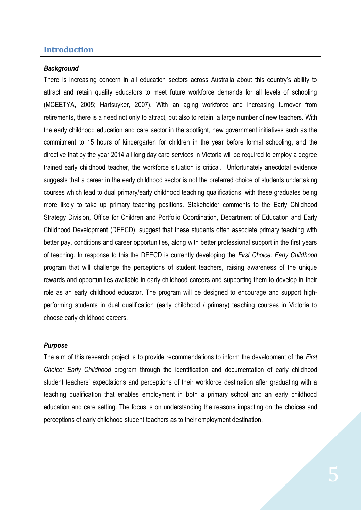#### <span id="page-5-0"></span>**Introduction**

#### <span id="page-5-1"></span>*Background*

There is increasing concern in all education sectors across Australia about this country's ability to attract and retain quality educators to meet future workforce demands for all levels of schooling (MCEETYA, 2005; Hartsuyker, 2007). With an aging workforce and increasing turnover from retirements, there is a need not only to attract, but also to retain, a large number of new teachers. With the early childhood education and care sector in the spotlight, new government initiatives such as the commitment to 15 hours of kindergarten for children in the year before formal schooling, and the directive that by the year 2014 all long day care services in Victoria will be required to employ a degree trained early childhood teacher, the workforce situation is critical. Unfortunately anecdotal evidence suggests that a career in the early childhood sector is not the preferred choice of students undertaking courses which lead to dual primary/early childhood teaching qualifications, with these graduates being more likely to take up primary teaching positions. Stakeholder comments to the Early Childhood Strategy Division, Office for Children and Portfolio Coordination, Department of Education and Early Childhood Development (DEECD), suggest that these students often associate primary teaching with better pay, conditions and career opportunities, along with better professional support in the first years of teaching. In response to this the DEECD is currently developing the *First Choice: Early Childhood* program that will challenge the perceptions of student teachers, raising awareness of the unique rewards and opportunities available in early childhood careers and supporting them to develop in their role as an early childhood educator. The program will be designed to encourage and support highperforming students in dual qualification (early childhood / primary) teaching courses in Victoria to choose early childhood careers.

#### <span id="page-5-2"></span>*Purpose*

The aim of this research project is to provide recommendations to inform the development of the *First Choice: Early Childhood* program through the identification and documentation of early childhood student teachers' expectations and perceptions of their workforce destination after graduating with a teaching qualification that enables employment in both a primary school and an early childhood education and care setting. The focus is on understanding the reasons impacting on the choices and perceptions of early childhood student teachers as to their employment destination.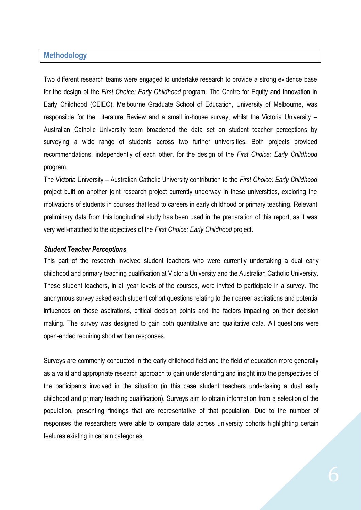#### <span id="page-6-0"></span>**Methodology**

Two different research teams were engaged to undertake research to provide a strong evidence base for the design of the *First Choice: Early Childhood* program. The Centre for Equity and Innovation in Early Childhood (CEIEC), Melbourne Graduate School of Education, University of Melbourne, was responsible for the Literature Review and a small in-house survey, whilst the Victoria University – Australian Catholic University team broadened the data set on student teacher perceptions by surveying a wide range of students across two further universities. Both projects provided recommendations, independently of each other, for the design of the *First Choice: Early Childhood* program.

The Victoria University – Australian Catholic University contribution to the *First Choice: Early Childhood*  project built on another joint research project currently underway in these universities, exploring the motivations of students in courses that lead to careers in early childhood or primary teaching. Relevant preliminary data from this longitudinal study has been used in the preparation of this report, as it was very well-matched to the objectives of the *First Choice: Early Childhood* project.

#### <span id="page-6-1"></span>*Student Teacher Perceptions*

This part of the research involved student teachers who were currently undertaking a dual early childhood and primary teaching qualification at Victoria University and the Australian Catholic University. These student teachers, in all year levels of the courses, were invited to participate in a survey. The anonymous survey asked each student cohort questions relating to their career aspirations and potential influences on these aspirations, critical decision points and the factors impacting on their decision making. The survey was designed to gain both quantitative and qualitative data. All questions were open-ended requiring short written responses.

Surveys are commonly conducted in the early childhood field and the field of education more generally as a valid and appropriate research approach to gain understanding and insight into the perspectives of the participants involved in the situation (in this case student teachers undertaking a dual early childhood and primary teaching qualification). Surveys aim to obtain information from a selection of the population, presenting findings that are representative of that population. Due to the number of responses the researchers were able to compare data across university cohorts highlighting certain features existing in certain categories.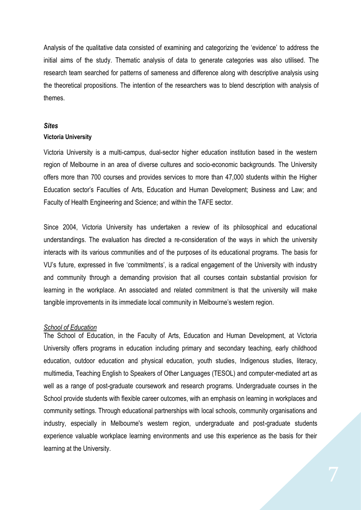Analysis of the qualitative data consisted of examining and categorizing the 'evidence' to address the initial aims of the study. Thematic analysis of data to generate categories was also utilised. The research team searched for patterns of sameness and difference along with descriptive analysis using the theoretical propositions. The intention of the researchers was to blend description with analysis of themes.

#### <span id="page-7-0"></span>*Sites*

#### **Victoria University**

Victoria University is a multi-campus, dual-sector higher education institution based in the western region of Melbourne in an area of diverse cultures and socio-economic backgrounds. The University offers more than 700 courses and provides services to more than 47,000 students within the Higher Education sector's Faculties of Arts, Education and Human Development; Business and Law; and Faculty of Health Engineering and Science; and within the TAFE sector.

Since 2004, Victoria University has undertaken a review of its philosophical and educational understandings. The evaluation has directed a re-consideration of the ways in which the university interacts with its various communities and of the purposes of its educational programs. The basis for VU's future, expressed in five 'commitments', is a radical engagement of the University with industry and community through a demanding provision that all courses contain substantial provision for learning in the workplace. An associated and related commitment is that the university will make tangible improvements in its immediate local community in Melbourne's western region.

#### *School of Education*

The School of Education, in the Faculty of Arts, Education and Human Development, at Victoria University offers programs in education including primary and secondary teaching, early childhood education, outdoor education and physical education, youth studies, Indigenous studies, literacy, multimedia, Teaching English to Speakers of Other Languages (TESOL) and computer-mediated art as well as a range of post-graduate coursework and research programs. Undergraduate courses in the School provide students with flexible career outcomes, with an emphasis on learning in workplaces and community settings. Through educational partnerships with local schools, community organisations and industry, especially in Melbourne's western region, undergraduate and post-graduate students experience valuable workplace learning environments and use this experience as the basis for their learning at the University.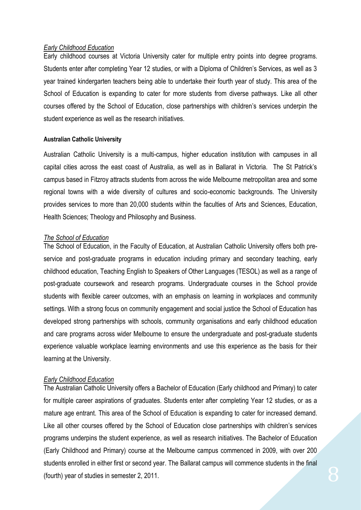#### *Early Childhood Education*

Early childhood courses at Victoria University cater for multiple entry points into degree programs. Students enter after completing Year 12 studies, or with a Diploma of Children's Services, as well as 3 year trained kindergarten teachers being able to undertake their fourth year of study. This area of the School of Education is expanding to cater for more students from diverse pathways. Like all other courses offered by the School of Education, close partnerships with children's services underpin the student experience as well as the research initiatives.

#### **Australian Catholic University**

Australian Catholic University is a multi-campus, higher education institution with campuses in all capital cities across the east coast of Australia, as well as in Ballarat in Victoria. The St Patrick's campus based in Fitzroy attracts students from across the wide Melbourne metropolitan area and some regional towns with a wide diversity of cultures and socio-economic backgrounds. The University provides services to more than 20,000 students within the faculties of Arts and Sciences, Education, Health Sciences; Theology and Philosophy and Business.

#### *The School of Education*

The School of Education, in the Faculty of Education, at Australian Catholic University offers both preservice and post-graduate programs in education including primary and secondary teaching, early childhood education, Teaching English to Speakers of Other Languages (TESOL) as well as a range of post-graduate coursework and research programs. Undergraduate courses in the School provide students with flexible career outcomes, with an emphasis on learning in workplaces and community settings. With a strong focus on community engagement and social justice the School of Education has developed strong partnerships with schools, community organisations and early childhood education and care programs across wider Melbourne to ensure the undergraduate and post-graduate students experience valuable workplace learning environments and use this experience as the basis for their learning at the University.

#### *Early Childhood Education*

The Australian Catholic University offers a Bachelor of Education (Early childhood and Primary) to cater for multiple career aspirations of graduates. Students enter after completing Year 12 studies, or as a mature age entrant. This area of the School of Education is expanding to cater for increased demand. Like all other courses offered by the School of Education close partnerships with children's services programs underpins the student experience, as well as research initiatives. The Bachelor of Education (Early Childhood and Primary) course at the Melbourne campus commenced in 2009, with over 200 students enrolled in either first or second year. The Ballarat campus will commence students in the final (fourth) year of studies in semester 2, 2011.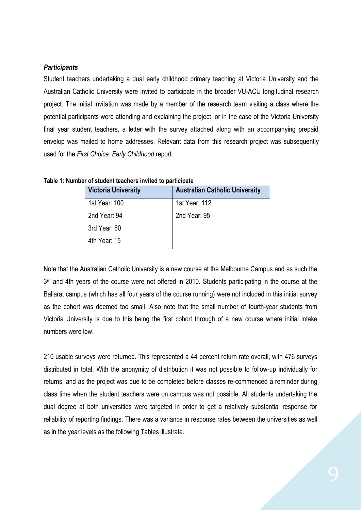#### <span id="page-9-0"></span>*Participants*

Student teachers undertaking a dual early childhood primary teaching at Victoria University and the Australian Catholic University were invited to participate in the broader VU-ACU longitudinal research project. The initial invitation was made by a member of the research team visiting a class where the potential participants were attending and explaining the project, or in the case of the Victoria University final year student teachers, a letter with the survey attached along with an accompanying prepaid envelop was mailed to home addresses. Relevant data from this research project was subsequently used for the *First Choice: Early Childhood* report.

| <b>Victoria University</b> | <b>Australian Catholic University</b> |
|----------------------------|---------------------------------------|
| 1st Year: 100              | 1st Year: 112                         |
| 2nd Year: 94               | 2nd Year: 95                          |
| 3rd Year: 60               |                                       |
| 4th Year: 15               |                                       |

<span id="page-9-1"></span>**Table 1: Number of student teachers invited to participate**

Note that the Australian Catholic University is a new course at the Melbourne Campus and as such the 3<sup>rd</sup> and 4th years of the course were not offered in 2010. Students participating in the course at the Ballarat campus (which has all four years of the course running) were not included in this initial survey as the cohort was deemed too small. Also note that the small number of fourth-year students from Victoria University is due to this being the first cohort through of a new course where initial intake numbers were low.

<span id="page-9-2"></span>210 usable surveys were returned. This represented a 44 percent return rate overall, with 476 surveys distributed in total. With the anonymity of distribution it was not possible to follow-up individually for returns, and as the project was due to be completed before classes re-commenced a reminder during class time when the student teachers were on campus was not possible. All students undertaking the dual degree at both universities were targeted in order to get a relatively substantial response for reliability of reporting findings. There was a variance in response rates between the universities as well as in the year levels as the following Tables illustrate.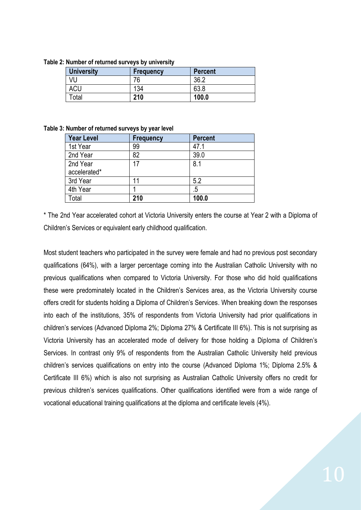| <b>University</b> | <b>Frequency</b> | <b>Percent</b> |
|-------------------|------------------|----------------|
| VU                |                  | 36.2           |
| <b>ACU</b>        | 134              | 63.8           |
| Total             | 210              | 100.0          |

**Table 2: Number of returned surveys by university**

<span id="page-10-0"></span>

|  | Table 3: Number of returned surveys by year level |  |
|--|---------------------------------------------------|--|
|--|---------------------------------------------------|--|

| <b>Year Level</b> | Frequency | <b>Percent</b> |
|-------------------|-----------|----------------|
| 1st Year          | 99        | 47.1           |
| 2nd Year          | 82        | 39.0           |
| 2nd Year          | 17        | 8.1            |
| accelerated*      |           |                |
| 3rd Year          | 11        | 5.2            |
| 4th Year          |           | .5             |
| Total             | 210       | 100.0          |

\* The 2nd Year accelerated cohort at Victoria University enters the course at Year 2 with a Diploma of Children's Services or equivalent early childhood qualification.

<span id="page-10-1"></span>Most student teachers who participated in the survey were female and had no previous post secondary qualifications (64%), with a larger percentage coming into the Australian Catholic University with no previous qualifications when compared to Victoria University. For those who did hold qualifications these were predominately located in the Children's Services area, as the Victoria University course offers credit for students holding a Diploma of Children's Services. When breaking down the responses into each of the institutions, 35% of respondents from Victoria University had prior qualifications in children's services (Advanced Diploma 2%; Diploma 27% & Certificate III 6%). This is not surprising as Victoria University has an accelerated mode of delivery for those holding a Diploma of Children's Services. In contrast only 9% of respondents from the Australian Catholic University held previous children's services qualifications on entry into the course (Advanced Diploma 1%; Diploma 2.5% & Certificate III 6%) which is also not surprising as Australian Catholic University offers no credit for previous children's services qualifications. Other qualifications identified were from a wide range of vocational educational training qualifications at the diploma and certificate levels (4%).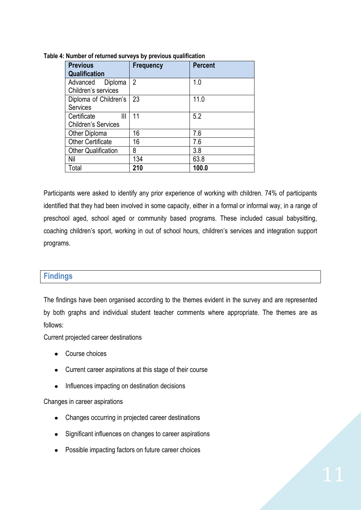| <b>Previous</b>            | <b>Frequency</b> | <b>Percent</b> |
|----------------------------|------------------|----------------|
| Qualification              |                  |                |
| Advanced<br>Diploma        | $\overline{2}$   | 1.0            |
| Children's services        |                  |                |
| Diploma of Children's      | 23               | 11.0           |
| <b>Services</b>            |                  |                |
| Certificate<br>Ш           | 11               | 5.2            |
| <b>Children's Services</b> |                  |                |
| Other Diploma              | 16               | 7.6            |
| <b>Other Certificate</b>   | 16               | 7.6            |
| <b>Other Qualification</b> | 8                | 3.8            |
| Nil                        | 134              | 63.8           |
| Total                      | 210              | 100.0          |

**Table 4: Number of returned surveys by previous qualification**

Participants were asked to identify any prior experience of working with children. 74% of participants identified that they had been involved in some capacity, either in a formal or informal way, in a range of preschool aged, school aged or community based programs. These included casual babysitting, coaching children's sport, working in out of school hours, children's services and integration support programs.

# <span id="page-11-0"></span>**Findings**

The findings have been organised according to the themes evident in the survey and are represented by both graphs and individual student teacher comments where appropriate. The themes are as follows:

Current projected career destinations

- Course choices
- Current career aspirations at this stage of their course
- Influences impacting on destination decisions

#### Changes in career aspirations

- Changes occurring in projected career destinations
- Significant influences on changes to career aspirations
- Possible impacting factors on future career choices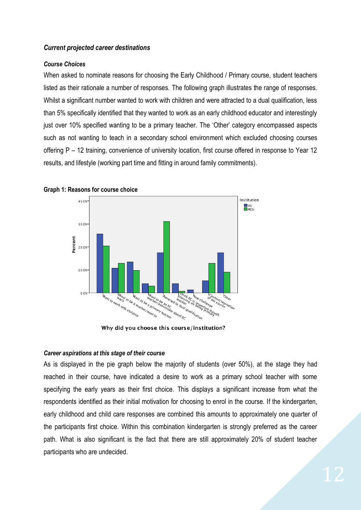#### <span id="page-12-0"></span>*Current projected career destinations*

#### <span id="page-12-1"></span>*Course Choices*

When asked to nominate reasons for choosing the Early Childhood / Primary course, student teachers listed as their rationale a number of responses. The following graph illustrates the range of responses. Whilst a significant number wanted to work with children and were attracted to a dual qualification, less than 5% specifically identified that they wanted to work as an early childhood educator and interestingly just over 10% specified wanting to be a primary teacher. The 'Other' category encompassed aspects such as not wanting to teach in a secondary school environment which excluded choosing courses offering P – 12 training, convenience of university location, first course offered in response to Year 12 results, and lifestyle (working part time and fitting in around family commitments).



<span id="page-12-2"></span>**Graph 1: Reasons for course choice**

Why did you choose this course/institution?

#### *Career aspirations at this stage of their course*

As is displayed in the pie graph below the majority of students (over 50%), at the stage they had reached in their course, have indicated a desire to work as a primary school teacher with some specifying the early years as their first choice. This displays a significant increase from what the respondents identified as their initial motivation for choosing to enrol in the course. If the kindergarten, early childhood and child care responses are combined this amounts to approximately one quarter of the participants first choice. Within this combination kindergarten is strongly preferred as the career path. What is also significant is the fact that there are still approximately 20% of student teacher participants who are undecided.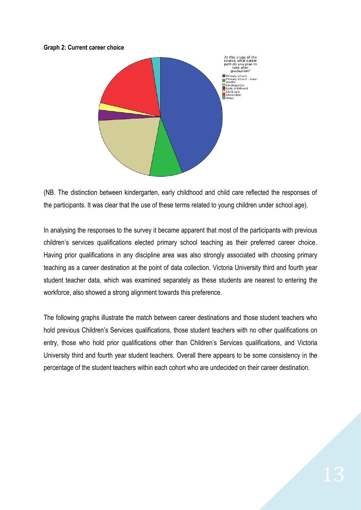#### <span id="page-13-0"></span>**Graph 2: Current career choice**



(NB. The distinction between kindergarten, early childhood and child care reflected the responses of the participants. It was clear that the use of these terms related to young children under school age).

In analysing the responses to the survey it became apparent that most of the participants with previous children's services qualifications elected primary school teaching as their preferred career choice. Having prior qualifications in any discipline area was also strongly associated with choosing primary teaching as a career destination at the point of data collection. Victoria University third and fourth year student teacher data, which was examined separately as these students are nearest to entering the workforce, also showed a strong alignment towards this preference.

The following graphs illustrate the match between career destinations and those student teachers who hold previous Children's Services qualifications, those student teachers with no other qualifications on entry, those who hold prior qualifications other than Children's Services qualifications, and Victoria University third and fourth year student teachers. Overall there appears to be some consistency in the percentage of the student teachers within each cohort who are undecided on their career destination.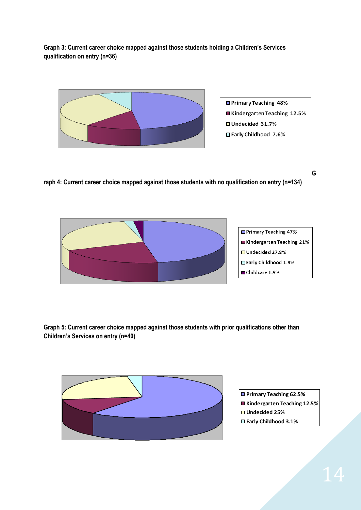<span id="page-14-0"></span>**Graph 3: Current career choice mapped against those students holding a Children's Services qualification on entry (n=36)**



<span id="page-14-1"></span>**G**

**raph 4: Current career choice mapped against those students with no qualification on entry (n=134)**



<span id="page-14-3"></span><span id="page-14-2"></span>**Graph 5: Current career choice mapped against those students with prior qualifications other than Children's Services on entry (n=40)**



- **Primary Teaching 62.5%**
- **Kindergarten Teaching 12.5%**
- **Undecided 25%**
- **Early Childhood 3.1%**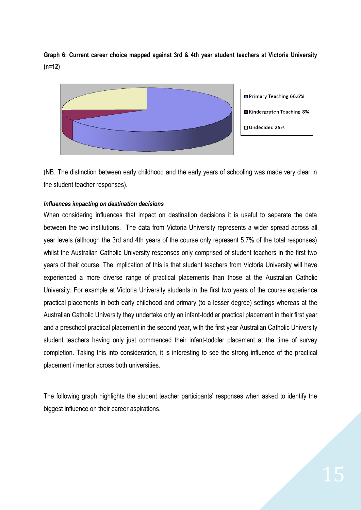**Graph 6: Current career choice mapped against 3rd & 4th year student teachers at Victoria University (n=12)**



(NB. The distinction between early childhood and the early years of schooling was made very clear in the student teacher responses).

#### *Influences impacting on destination decisions*

When considering influences that impact on destination decisions it is useful to separate the data between the two institutions. The data from Victoria University represents a wider spread across all year levels (although the 3rd and 4th years of the course only represent 5.7% of the total responses) whilst the Australian Catholic University responses only comprised of student teachers in the first two years of their course. The implication of this is that student teachers from Victoria University will have experienced a more diverse range of practical placements than those at the Australian Catholic University. For example at Victoria University students in the first two years of the course experience practical placements in both early childhood and primary (to a lesser degree) settings whereas at the Australian Catholic University they undertake only an infant-toddler practical placement in their first year and a preschool practical placement in the second year, with the first year Australian Catholic University student teachers having only just commenced their infant-toddler placement at the time of survey completion. Taking this into consideration, it is interesting to see the strong influence of the practical placement / mentor across both universities.

The following graph highlights the student teacher participants' responses when asked to identify the biggest influence on their career aspirations.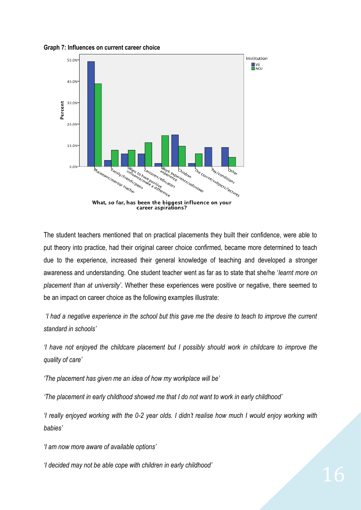<span id="page-16-0"></span>**Graph 7: Influences on current career choice** 



The student teachers mentioned that on practical placements they built their confidence, were able to put theory into practice, had their original career choice confirmed, became more determined to teach due to the experience, increased their general knowledge of teaching and developed a stronger awareness and understanding. One student teacher went as far as to state that she/he '*learnt more on placement than at university'*. Whether these experiences were positive or negative, there seemed to be an impact on career choice as the following examples illustrate:

*'I had a negative experience in the school but this gave me the desire to teach to improve the current standard in schools'*

*'I have not enjoyed the childcare placement but I possibly should work in childcare to improve the quality of care'*

*'The placement has given me an idea of how my workplace will be'*

*'The placement in early childhood showed me that I do not want to work in early childhood'*

*'I really enjoyed working with the 0-2 year olds. I didn't realise how much I would enjoy working with babies'*

*'I am now more aware of available options'*

*'I decided may not be able cope with children in early childhood'*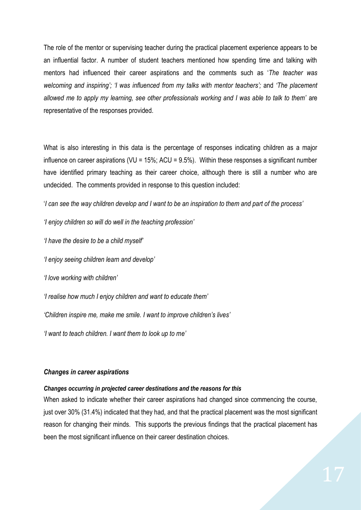The role of the mentor or supervising teacher during the practical placement experience appears to be an influential factor. A number of student teachers mentioned how spending time and talking with mentors had influenced their career aspirations and the comments such as '*The teacher was welcoming and inspiring'; 'I was influenced from my talks with mentor teachers';* and *'The placement*  allowed me to apply my learning, see other professionals working and I was able to talk to them' are representative of the responses provided.

What is also interesting in this data is the percentage of responses indicating children as a major influence on career aspirations (VU =  $15\%$ ; ACU =  $9.5\%$ ). Within these responses a significant number have identified primary teaching as their career choice, although there is still a number who are undecided. The comments provided in response to this question included:

'*I can see the way children develop and I want to be an inspiration to them and part of the process'*

*'I enjoy children so will do well in the teaching profession'* 

*'I have the desire to be a child myself'* 

*'I enjoy seeing children learn and develop'*

*'I love working with children'*

*'I realise how much I enjoy children and want to educate them'*

*'Children inspire me, make me smile. I want to improve children's lives'*

*'I want to teach children. I want them to look up to me'*

#### *Changes in career aspirations*

#### *Changes occurring in projected career destinations and the reasons for this*

When asked to indicate whether their career aspirations had changed since commencing the course, just over 30% (31.4%) indicated that they had, and that the practical placement was the most significant reason for changing their minds. This supports the previous findings that the practical placement has been the most significant influence on their career destination choices.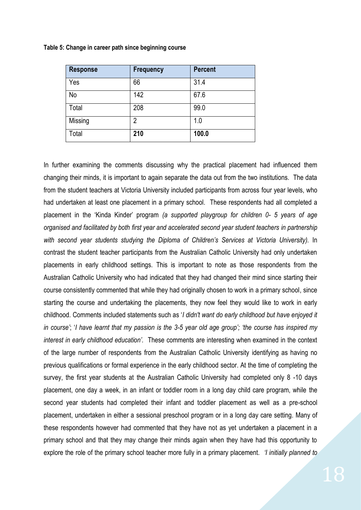| <b>Response</b> | <b>Frequency</b> | <b>Percent</b> |
|-----------------|------------------|----------------|
| Yes             | 66               | 31.4           |
| No              | 142              | 67.6           |
| Total           | 208              | 99.0           |
| Missing         | 2                | 1.0            |
| Total           | 210              | 100.0          |

<span id="page-18-0"></span>**Table 5: Change in career path since beginning course**

In further examining the comments discussing why the practical placement had influenced them changing their minds, it is important to again separate the data out from the two institutions. The data from the student teachers at Victoria University included participants from across four year levels, who had undertaken at least one placement in a primary school. These respondents had all completed a placement in the 'Kinda Kinder' program *(a supported playgroup for children 0- 5 years of age organised and facilitated by both first year and accelerated second year student teachers in partnership with second year students studying the Diploma of Children's Services at Victoria University).* In contrast the student teacher participants from the Australian Catholic University had only undertaken placements in early childhood settings. This is important to note as those respondents from the Australian Catholic University who had indicated that they had changed their mind since starting their course consistently commented that while they had originally chosen to work in a primary school, since starting the course and undertaking the placements, they now feel they would like to work in early childhood. Comments included statements such as '*I didn't want do early childhood but have enjoyed it in course'*; '*I have learnt that my passion is the 3-5 year old age group'; 'the course has inspired my interest in early childhood education'.* These comments are interesting when examined in the context of the large number of respondents from the Australian Catholic University identifying as having no previous qualifications or formal experience in the early childhood sector. At the time of completing the survey, the first year students at the Australian Catholic University had completed only 8 -10 days placement, one day a week, in an infant or toddler room in a long day child care program, while the second year students had completed their infant and toddler placement as well as a pre-school placement, undertaken in either a sessional preschool program or in a long day care setting. Many of these respondents however had commented that they have not as yet undertaken a placement in a primary school and that they may change their minds again when they have had this opportunity to explore the role of the primary school teacher more fully in a primary placement. *'I initially planned to*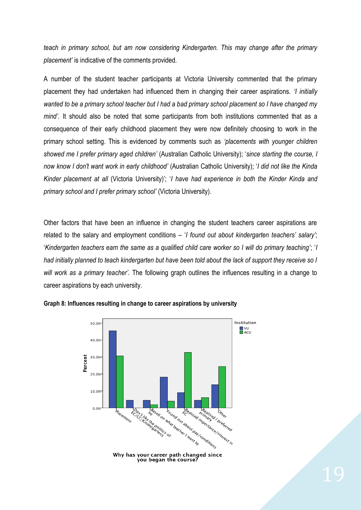*teach in primary school, but am now considering Kindergarten. This may change after the primary placement'* is indicative of the comments provided.

A number of the student teacher participants at Victoria University commented that the primary placement they had undertaken had influenced them in changing their career aspirations. *'I initially wanted to be a primary school teacher but I had a bad primary school placement so I have changed my mind'.* It should also be noted that some participants from both institutions commented that as a consequence of their early childhood placement they were now definitely choosing to work in the primary school setting. This is evidenced by comments such as *'placements with younger children showed me I prefer primary aged children'* (Australian Catholic University); '*since starting the course, I now know I don't want work in early childhood'* (Australian Catholic University); '*I did not like the Kinda Kinder placement at all* (Victoria University)'; '*I have had experience in both the Kinder Kinda and primary school and I prefer primary school'* (Victoria University).

Other factors that have been an influence in changing the student teachers career aspirations are related to the salary and employment conditions – '*I found out about kindergarten teachers' salary'*; '*Kindergarten teachers earn the same as a qualified child care worker so I will do primary teaching'*; '*I had initially planned to teach kindergarten but have been told about the lack of support they receive so I will work as a primary teacher'.* The following graph outlines the influences resulting in a change to career aspirations by each university.

<span id="page-19-0"></span>

#### **Graph 8: Influences resulting in change to career aspirations by university**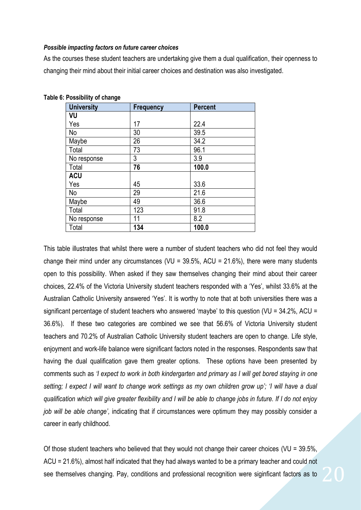#### *Possible impacting factors on future career choices*

As the courses these student teachers are undertaking give them a dual qualification, their openness to changing their mind about their initial career choices and destination was also investigated.

| <b>University</b> | <b>Frequency</b> | <b>Percent</b> |
|-------------------|------------------|----------------|
| VU                |                  |                |
| Yes               | 17               | 22.4           |
| No                | 30               | 39.5           |
| Maybe             | 26               | 34.2           |
| Total             | 73               | 96.1           |
| No response       | 3                | 3.9            |
| Total             | 76               | 100.0          |
| <b>ACU</b>        |                  |                |
| Yes               | 45               | 33.6           |
| No                | 29               | 21.6           |
| Maybe             | 49               | 36.6           |
| Total             | 123              | 91.8           |
| No response       | 11               | 8.2            |
| Total             | 134              | 100.0          |

#### <span id="page-20-0"></span>**Table 6: Possibility of change**

This table illustrates that whilst there were a number of student teachers who did not feel they would change their mind under any circumstances (VU =  $39.5\%$ , ACU =  $21.6\%$ ), there were many students open to this possibility. When asked if they saw themselves changing their mind about their career choices, 22.4% of the Victoria University student teachers responded with a 'Yes', whilst 33.6% at the Australian Catholic University answered 'Yes'. It is worthy to note that at both universities there was a significant percentage of student teachers who answered 'maybe' to this question (VU = 34.2%, ACU = 36.6%). If these two categories are combined we see that 56.6% of Victoria University student teachers and 70.2% of Australian Catholic University student teachers are open to change. Life style, enjoyment and work-life balance were significant factors noted in the responses. Respondents saw that having the dual qualification gave them greater options. These options have been presented by comments such as *'I expect to work in both kindergarten and primary as I will get bored staying in one setting; I expect I will want to change work settings as my own children grow up'; 'I will have a dual qualification which will give greater flexibility and I will be able to change jobs in future. If I do not enjoy job will be able change',* indicating that if circumstances were optimum they may possibly consider a career in early childhood.

Of those student teachers who believed that they would not change their career choices (VU = 39.5%, ACU = 21.6%), almost half indicated that they had always wanted to be a primary teacher and could not see themselves changing. Pay, conditions and professional recognition were siginficant factors as to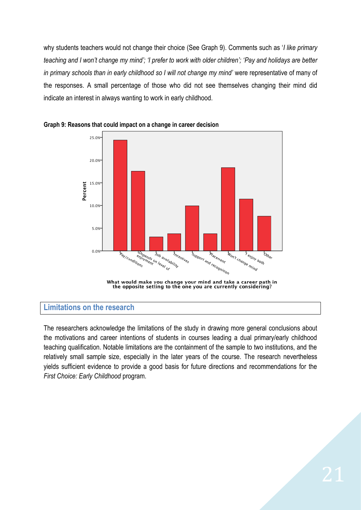why students teachers would not change their choice (See Graph 9). Comments such as '*I like primary teaching and I won't change my mind'; 'I prefer to work with older children'; 'Pay and holidays are better*  in primary schools than in early childhood so I will not change my mind' were representative of many of the responses. A small percentage of those who did not see themselves changing their mind did indicate an interest in always wanting to work in early childhood.



<span id="page-21-1"></span>

# **Limitations on the research**

<span id="page-21-0"></span>The researchers acknowledge the limitations of the study in drawing more general conclusions about the motivations and career intentions of students in courses leading a dual primary/early childhood teaching qualification. Notable limitations are the containment of the sample to two institutions, and the relatively small sample size, especially in the later years of the course. The research nevertheless yields sufficient evidence to provide a good basis for future directions and recommendations for the *First Choice: Early Childhood* program.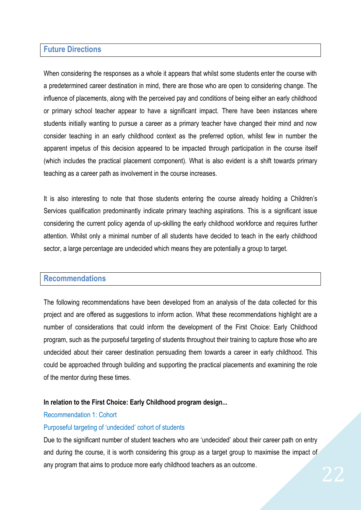# **Future Directions**

When considering the responses as a whole it appears that whilst some students enter the course with a predetermined career destination in mind, there are those who are open to considering change. The influence of placements, along with the perceived pay and conditions of being either an early childhood or primary school teacher appear to have a significant impact. There have been instances where students initially wanting to pursue a career as a primary teacher have changed their mind and now consider teaching in an early childhood context as the preferred option, whilst few in number the apparent impetus of this decision appeared to be impacted through participation in the course itself (which includes the practical placement component). What is also evident is a shift towards primary teaching as a career path as involvement in the course increases.

It is also interesting to note that those students entering the course already holding a Children's Services qualification predominantly indicate primary teaching aspirations. This is a significant issue considering the current policy agenda of up-skilling the early childhood workforce and requires further attention. Whilst only a minimal number of all students have decided to teach in the early childhood sector, a large percentage are undecided which means they are potentially a group to target.

# <span id="page-22-0"></span>**Recommendations**

The following recommendations have been developed from an analysis of the data collected for this project and are offered as suggestions to inform action. What these recommendations highlight are a number of considerations that could inform the development of the First Choice: Early Childhood program, such as the purposeful targeting of students throughout their training to capture those who are undecided about their career destination persuading them towards a career in early childhood. This could be approached through building and supporting the practical placements and examining the role of the mentor during these times.

# **In relation to the First Choice: Early Childhood program design...**

#### Recommendation 1: Cohort

# Purposeful targeting of 'undecided' cohort of students

Due to the significant number of student teachers who are 'undecided' about their career path on entry and during the course, it is worth considering this group as a target group to maximise the impact of any program that aims to produce more early childhood teachers as an outcome.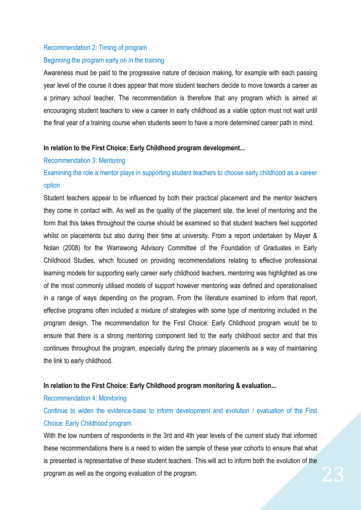# Recommendation 2: Timing of program Beginning the program early on in the training

Awareness must be paid to the progressive nature of decision making, for example with each passing year level of the course it does appear that more student teachers decide to move towards a career as a primary school teacher. The recommendation is therefore that any program which is aimed at encouraging student teachers to view a career in early childhood as a viable option must not wait until the final year of a training course when students seem to have a more determined career path in mind.

#### **In relation to the First Choice: Early Childhood program development...**

#### Recommendation 3: Mentoring

# Examining the role a mentor plays in supporting student teachers to choose early childhood as a career option

Student teachers appear to be influenced by both their practical placement and the mentor teachers they come in contact with. As well as the quality of the placement site, the level of mentoring and the form that this takes throughout the course should be examined so that student teachers feel supported whilst on placements but also during their time at university. From a report undertaken by Mayer & Nolan (2008) for the Warrawong Advisory Committee of the Foundation of Graduates in Early Childhood Studies, which focused on providing recommendations relating to effective professional learning models for supporting early career early childhood teachers, mentoring was highlighted as one of the most commonly utilised models of support however mentoring was defined and operationalised in a range of ways depending on the program. From the literature examined to inform that report, effective programs often included a mixture of strategies with some type of mentoring included in the program design. The recommendation for the First Choice: Early Childhood program would be to ensure that there is a strong mentoring component tied to the early childhood sector and that this continues throughout the program, especially during the primary placements as a way of maintaining the link to early childhood.

# **In relation to the First Choice: Early Childhood program monitoring & evaluation...**

# Recommendation 4: Monitoring

Continue to widen the evidence-base to inform development and evolution / evaluation of the First Choice: Early Childhood program

With the low numbers of respondents in the 3rd and 4th year levels of the current study that informed these recommendations there is a need to widen the sample of these year cohorts to ensure that what is presented is representative of these student teachers. This will act to inform both the evolution of the program as well as the ongoing evaluation of the program.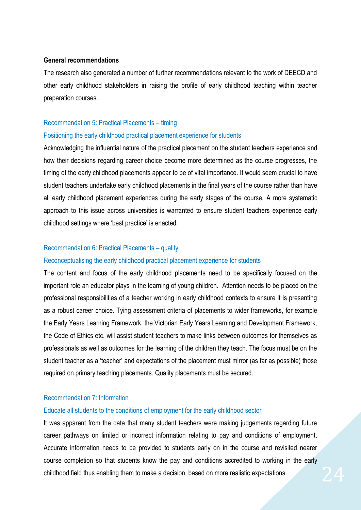#### **General recommendations**

The research also generated a number of further recommendations relevant to the work of DEECD and other early childhood stakeholders in raising the profile of early childhood teaching within teacher preparation courses.

#### Recommendation 5: Practical Placements – timing

#### Positioning the early childhood practical placement experience for students

Acknowledging the influential nature of the practical placement on the student teachers experience and how their decisions regarding career choice become more determined as the course progresses, the timing of the early childhood placements appear to be of vital importance. It would seem crucial to have student teachers undertake early childhood placements in the final years of the course rather than have all early childhood placement experiences during the early stages of the course. A more systematic approach to this issue across universities is warranted to ensure student teachers experience early childhood settings where 'best practice' is enacted.

#### Recommendation 6: Practical Placements – quality

#### Reconceptualising the early childhood practical placement experience for students

The content and focus of the early childhood placements need to be specifically focused on the important role an educator plays in the learning of young children. Attention needs to be placed on the professional responsibilities of a teacher working in early childhood contexts to ensure it is presenting as a robust career choice. Tying assessment criteria of placements to wider frameworks, for example the Early Years Learning Framework, the Victorian Early Years Learning and Development Framework, the Code of Ethics etc. will assist student teachers to make links between outcomes for themselves as professionals as well as outcomes for the learning of the children they teach. The focus must be on the student teacher as a 'teacher' and expectations of the placement must mirror (as far as possible) those required on primary teaching placements. Quality placements must be secured.

#### Recommendation 7: Information

#### Educate all students to the conditions of employment for the early childhood sector

It was apparent from the data that many student teachers were making judgements regarding future career pathways on limited or incorrect information relating to pay and conditions of employment. Accurate information needs to be provided to students early on in the course and revisited nearer course completion so that students know the pay and conditions accredited to working in the early childhood field thus enabling them to make a decision based on more realistic expectations.